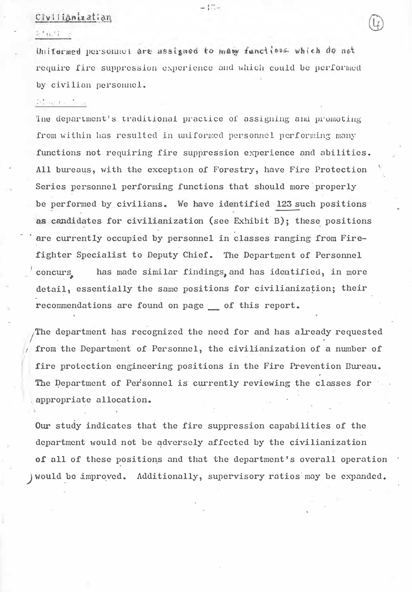## Civilianization

## $2.50.37 - 2$

Uniformed personnel are assigned to many functions which do not require fire suppression experience and which could be performed by civilian personnel.

## Provincia de

The department's traditional practice of assigning and promoting from within has resulted in uniformed personnel performing many functions not requiring fire suppression experience and abilities. All bureaus, with the exception of Forestry, have Fire Protection Series personnel performing functions that should more properly be performed by civilians. We have identified 123 such positions as candidates for civilianization (see Exhibit B); these positions are currently occupied by personnel in classes ranging from Firefighter Specialist to Deputy Chief. The Department of Personnel concurs has made similar findings, and has identified, in more detail, essentially the same positions for civilianization; their recommendations are found on page \_ of this report.

The department has recognized the need for and has already requested from the Department of Personnel, the civilianization of a number of fire protection engineering positions in the Fire Prevention Bureau. The Department of Personnel is currently reviewing the classes for appropriate allocation.

Our study indicates that the fire suppression capabilities of the department would not be adversely affected by the civilianization of all of these positions and that the department's overall operation ) would be improved. Additionally, supervisory ratios may be expanded.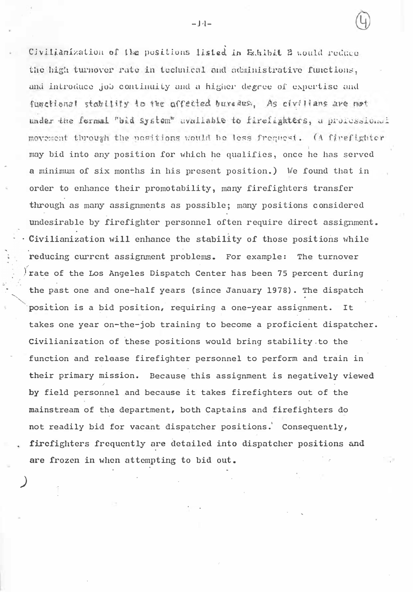Civilianization of the positions listed in Eshibit 3 would reduce the high turnover rate in technical and administrative functions, and introduce job continuity and a higher degree of expertise and functional stability to the affected buredus. As civilians are not under the formal "bid system" available to firelighters, a professional movement through the nositions would be less frequest. (A firefighter may bid into any position for which he qualifies, once he has served a minimum of six months in his present position.) We found that in order to enhance their promotability, many firefighters transfer through as many assignments as possible; many positions considered undesirable by firefighter personnel often require direct assignment. Civilianization will enhance the stability of those positions while reducing current assignment problems. For example: The turnover I' ) rate of the Los Angeles Dispatch Center has been 75 percent during the past one and one-half years (since January 1978) • The dispatch position is a bid position, requiring a one-year assignment. It takes one year on-the-job training to become a proficient dispatcher. Civilianization of these positions would bring stability.to the function and release firefighter personnel to perform and train in their primary mission. Because this assignment is negatively viewed  $\overline{\phantom{a}}$ by field personnel and because it takes firefighters out of the mainstream of the department, both Captains and firefighters do not readily bid for vacant dispatcher positions.' Consequently, firefighters frequently are detailed into dispatcher positions and are frozen in when attempting to bid out.

)

 $-1/1-$ 

'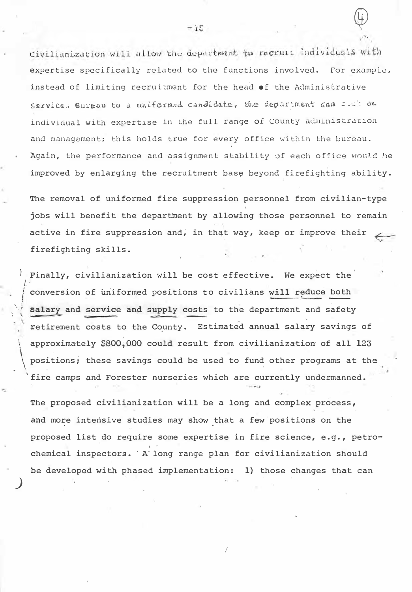civilianization will allow the department to recruit individuals with expertise specifically related to the functions involved. For example, instead of limiting recruitment for the head of the Administrative service: Bureau to a uniformed candidate, the department gan such an individual with expertise in the full range of County administration and management; this holds true for every office within the bureau. Again, the performance and assignment stability of each office would be improved by enlarging the recruitment base beyond firefighting ability.

The removal of uniformed fire suppression personnel from civilian-type jobs will benefit the department by allowing those personnel to remain active in fire suppression and, in that way, keep or improve their firefighting skills.

) Finally, civilianization will be cost effective. We expect the /.· conversion of uniformed positions to civilians will reduce both salary and service and supply costs to the department and safety �etirement costs to the County. Estimated annual salary savings of approximately \$800,000 could result from civilianization of all 123 positions; these savings could be used to fund other programs at the fire camps and Forester nurseries which are currently undermanned.

 $\cdot$   $\cdot$ 

'

)

The proposed civilianization will be a long and complex process, and more intensive studies may show that a few positions on the proposed list do require some expertise in fire science, e.g., petro-I ' chemical inspectors. · A' long range plan for civilianization should be developed with phased implementation: 1) those changes that can

I

 $-1.5$ 

 $\bigoplus$